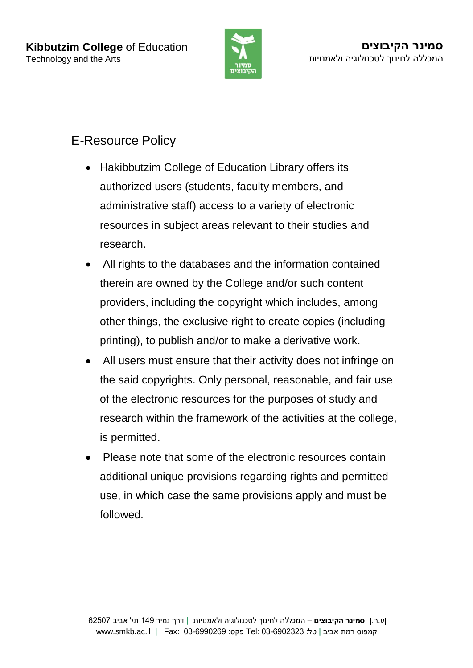

## E-Resource Policy

- Hakibbutzim College of Education Library offers its authorized users (students, faculty members, and administrative staff) access to a variety of electronic resources in subject areas relevant to their studies and research.
- All rights to the databases and the information contained therein are owned by the College and/or such content providers, including the copyright which includes, among other things, the exclusive right to create copies (including printing), to publish and/or to make a derivative work.
- All users must ensure that their activity does not infringe on the said copyrights. Only personal, reasonable, and fair use of the electronic resources for the purposes of study and research within the framework of the activities at the college, is permitted.
- Please note that some of the electronic resources contain additional unique provisions regarding rights and permitted use, in which case the same provisions apply and must be followed.